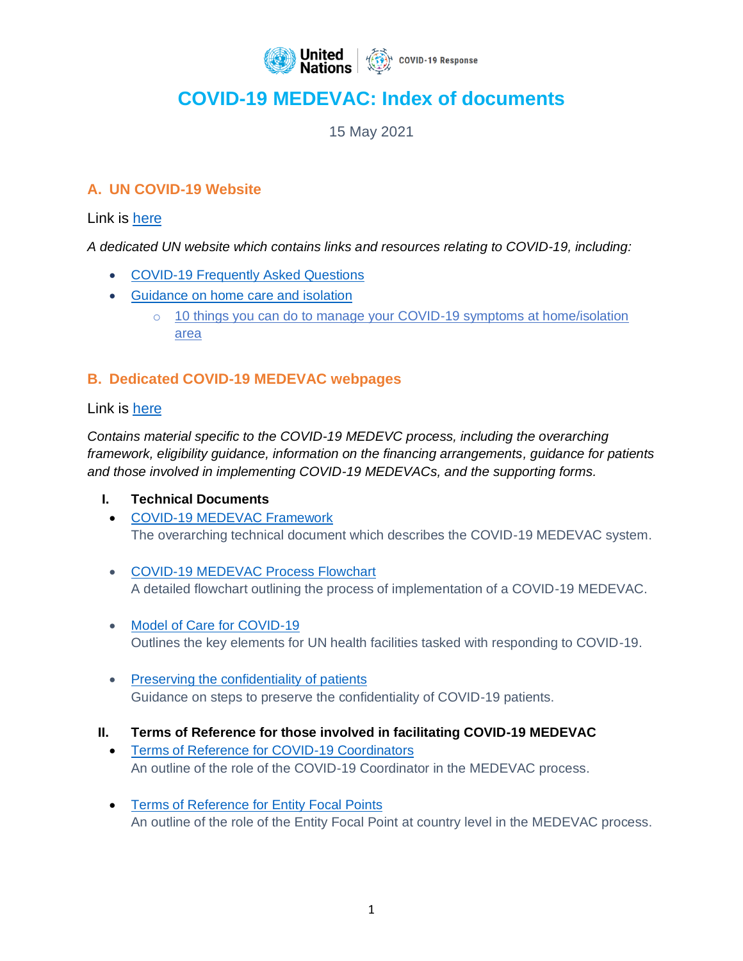

# **COVID-19 MEDEVAC: Index of documents**

15 May 2021

## **A. UN COVID-19 Website**

Link is [here](https://www.un.org/en/coronavirus)

*A dedicated UN website which contains links and resources relating to COVID-19, including:* 

- [COVID-19 Frequently Asked Questions](https://www.un.org/en/coronavirus/covid-19-faqs)
- [Guidance on home care and isolation](https://www.un.org/en/coronavirus/home-care-and-isolation)
	- o [10 things you can do to manage your COVID-19 symptoms at home/isolation](https://www.un.org/sites/un2.un.org/files/coronavirus_comms_10thingsisolatedpatient.pdf)  [area](https://www.un.org/sites/un2.un.org/files/coronavirus_comms_10thingsisolatedpatient.pdf)

# **B. Dedicated COVID-19 MEDEVAC webpages**

## Link is [here](https://www.un.org/en/coronavirus/covid-19-medevac)

*Contains material specific to the COVID-19 MEDEVC process, including the overarching framework, eligibility guidance, information on the financing arrangements, guidance for patients and those involved in implementing COVID-19 MEDEVACs, and the supporting forms.*

## **I. Technical Documents**

- [COVID-19 MEDEVAC Framework](https://www.un.org/sites/un2.un.org/files/covid-19_medical_evacuation_framework.pdf) The overarching technical document which describes the COVID-19 MEDEVAC system.
- [COVID-19 MEDEVAC Process Flowchart](https://www.un.org/sites/un2.un.org/files/medevac_process_flowchart.pdf) A detailed flowchart outlining the process of implementation of a COVID-19 MEDEVAC.
- [Model of Care for COVID-19](https://www.un.org/sites/un2.un.org/files/un_model_of_care_checklist_and_matrix.pdf) Outlines the key elements for UN health facilities tasked with responding to COVID-19.
- [Preserving the confidentiality of patients](https://www.un.org/sites/un2.un.org/files/preserving_the_confidentiality_of_covid_19_infected_un_personnel_2_april_2020_0.pdf) Guidance on steps to preserve the confidentiality of COVID-19 patients.
- **II. Terms of Reference for those involved in facilitating COVID-19 MEDEVAC**
	- [Terms of Reference for COVID-19 Coordinators](https://www.un.org/sites/un2.un.org/files/covid-19_coordinator_terms_of_reference.pdf) An outline of the role of the COVID-19 Coordinator in the MEDEVAC process.
	- [Terms of Reference for Entity Focal Points](https://www.un.org/sites/un2.un.org/files/guidance_-_focal_point_terms_of_reference.pdf) An outline of the role of the Entity Focal Point at country level in the MEDEVAC process.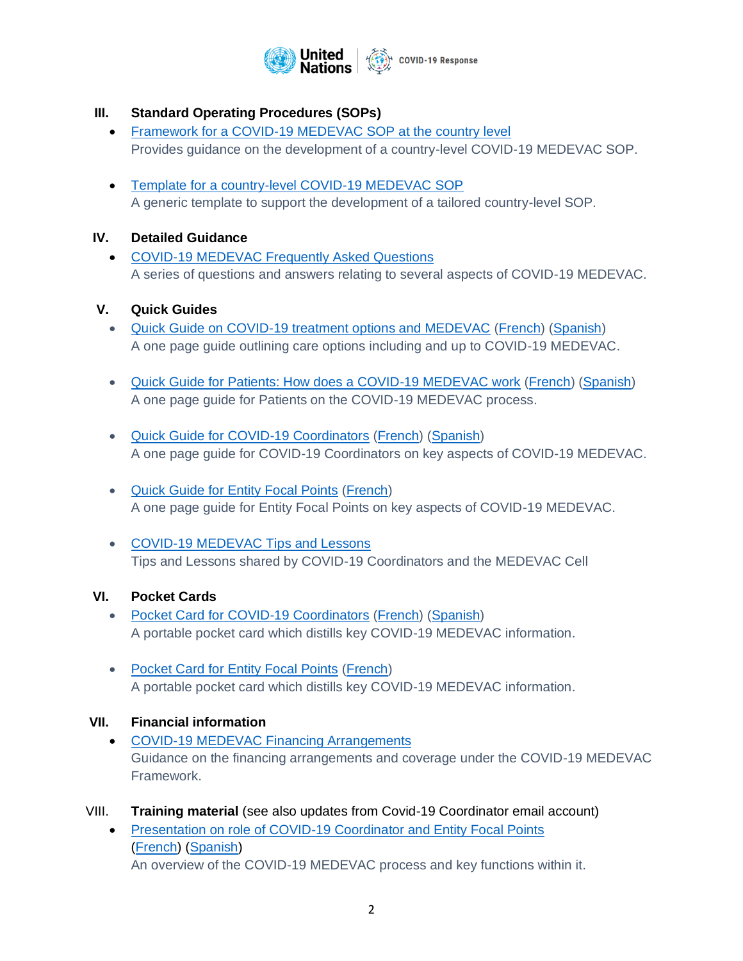

## **III. Standard Operating Procedures (SOPs)**

- [Framework for a COVID-19 MEDEVAC SOP at the country level](https://www.un.org/sites/un2.un.org/files/covid-19_country_level_framework_sop_.pdf) Provides guidance on the development of a country-level COVID-19 MEDEVAC SOP.
- [Template for a country-level COVID-19 MEDEVAC SOP](https://www.un.org/sites/un2.un.org/files/covid-19_sop_template.pdf) A generic template to support the development of a tailored country-level SOP.

#### **IV. Detailed Guidance**

• [COVID-19 MEDEVAC Frequently Asked Questions](https://www.un.org/sites/un2.un.org/files/covid-19_medevac_faqs.pdf) A series of questions and answers relating to several aspects of COVID-19 MEDEVAC.

#### **V. Quick Guides**

- [Quick Guide on COVID-19 treatment options and MEDEVAC](https://www.un.org/sites/un2.un.org/files/guidance_note_-_covid-19_treatment_and_medevac.pdf) [\(French\)](https://www.un.org/sites/un2.un.org/files/guidance_note_treatment_options_and_medevac_french.pdf) [\(Spanish\)](https://www.un.org/sites/un2.un.org/files/spanish_guidance_note_-_covid-19_treatment_and_medevac.pdf) A one page guide outlining care options including and up to COVID-19 MEDEVAC.
- [Quick Guide for Patients: How does a COVID-19 MEDEVAC work](https://www.un.org/sites/un2.un.org/files/guidance_note_-_a_patients_perspective._how_does_a_medevac_work.pdf) [\(French\)](https://www.un.org/sites/un2.un.org/files/guidance_how_does_a_medevac_work.french.pdf) [\(Spanish\)](https://www.un.org/sites/un2.un.org/files/spanish_guidance_note_-_a_patients_perspective._how_does_a_medevac_work.pdf) A one page guide for Patients on the COVID-19 MEDEVAC process.
- [Quick Guide for COVID-19 Coordinators](https://www.un.org/sites/un2.un.org/files/quick_guide_for_covid-19_coordinators.pdf) [\(French\)](https://www.un.org/sites/un2.un.org/files/quick_guide_for_covid-19_coordinators_fr.pdf) [\(Spanish\)](https://www.un.org/sites/un2.un.org/files/quick_guide_for_covid-19_coordinators_es.pdf) A one page guide for COVID-19 Coordinators on key aspects of COVID-19 MEDEVAC.
- [Quick Guide for Entity Focal Points](https://www.un.org/sites/un2.un.org/files/covid-19_medevac_guidance_note_-_quick_guide_for_entity_focal_points.pdf) [\(French\)](https://www.un.org/sites/un2.un.org/files/quick_guide_entity_focal_point_-_fr.pdf) A one page guide for Entity Focal Points on key aspects of COVID-19 MEDEVAC.
- [COVID-19 MEDEVAC Tips and Lessons](https://www.un.org/sites/un2.un.org/files/covid-19_medevac_tips.pdf) Tips and Lessons shared by COVID-19 Coordinators and the MEDEVAC Cell

#### **VI. Pocket Cards**

- [Pocket Card for COVID-19 Coordinators](https://www.un.org/sites/un2.un.org/files/wallet_card_covid-19_coordinators.pdf) [\(French\)](https://www.un.org/sites/un2.un.org/files/wallet_card_-_covid-19_coordinator_fr.pdf) [\(Spanish\)](https://www.un.org/sites/un2.un.org/files/wallet_card_-_covid-19_coordinator_es.pdf) A portable pocket card which distills key COVID-19 MEDEVAC information.
- [Pocket Card for Entity Focal Points](https://www.un.org/sites/un2.un.org/files/entity_focal_point_medevacwallet_card_en_.pdf) [\(French\)](https://www.un.org/sites/un2.un.org/files/wallet_card_entity_focal_points_fr.pdf) A portable pocket card which distills key COVID-19 MEDEVAC information.

#### **VII. Financial information**

• [COVID-19 MEDEVAC Financing Arrangements](https://www.un.org/sites/un2.un.org/files/medevac_task_force_-_financingarrangements.pdf) Guidance on the financing arrangements and coverage under the COVID-19 MEDEVAC Framework.

#### VIII. **Training material** (see also updates from Covid-19 Coordinator email account)

• [Presentation on role of COVID-19 Coordinator and Entity Focal Points](https://www.un.org/sites/un2.un.org/files/ppt_for_covid-19_coords_v1.pdf) [\(French\)](https://www.un.org/sites/un2.un.org/files/guidance_on_un_medevac_protocol_for_covid-19_infected_personnel_and_dependents_fr.pdf) [\(Spanish\)](https://www.un.org/sites/un2.un.org/files/guidance_on_un_medevac_protocol_for_covid-19_infected_personnel_and_dependents_-_es.pdf) An overview of the COVID-19 MEDEVAC process and key functions within it.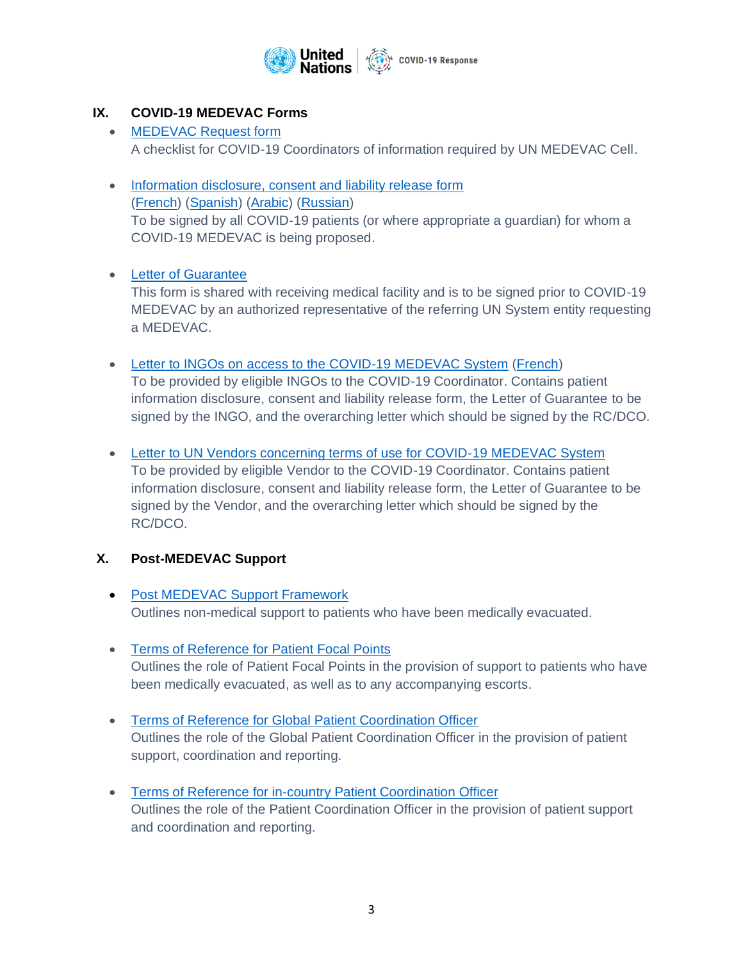

## **IX. COVID-19 MEDEVAC Forms**

- [MEDEVAC Request form](https://www.un.org/sites/un2.un.org/files/medevac_request_form_for_covid-19_coordinators.pdf) A checklist for COVID-19 Coordinators of information required by UN MEDEVAC Cell.
- [Information disclosure, consent and liability release form](https://www.un.org/sites/un2.un.org/files/combined_information_disclosure_consent_and_general_release_form_-_covid-19_medevac.pdf) [\(French\)](https://www.un.org/sites/un2.un.org/files/combined_information_disclosure_and_general_release_form_-_covid-19_medevac._french__0.pdf) [\(Spanish\)](https://www.un.org/sites/un2.un.org/files/combined_information_disclosure_consentand_general_release_form_covid-19_medevac_es.pdf) [\(Arabic\)](https://www.un.org/sites/un2.un.org/files/combined_information_disclosure_consentand_general_release_form_covid-19_medevac_ar.pdf) [\(Russian\)](https://www.un.org/sites/un2.un.org/files/combined_information_disclosure_consentand_general_release_form_covid-19_medevac_ru.pdf) To be signed by all COVID-19 patients (or where appropriate a guardian) for whom a COVID-19 MEDEVAC is being proposed.

#### • [Letter of Guarantee](https://www.un.org/sites/un2.un.org/files/letter_of_guarantee_un_system_entity.pdf)

This form is shared with receiving medical facility and is to be signed prior to COVID-19 MEDEVAC by an authorized representative of the referring UN System entity requesting a MEDEVAC.

- [Letter to INGOs on access to the COVID-19 MEDEVAC System](https://www.un.org/sites/un2.un.org/files/letter_to_ingos_-_access_to_covid-19_medevac_system.pdf) [\(French\)](https://www.un.org/sites/un2.un.org/files/letter_to_ingos_-_access_to_the_covid-19_medevac_system_fr.pdf) To be provided by eligible INGOs to the COVID-19 Coordinator. Contains patient information disclosure, consent and liability release form, the Letter of Guarantee to be signed by the INGO, and the overarching letter which should be signed by the RC/DCO.
- [Letter to UN Vendors concerning terms of use for COVID-19 MEDEVAC System](https://www.un.org/sites/un2.un.org/files/letter_to_un_vendors_concerning_terms_of_use_for_covid-19_medevac_system.pdf) To be provided by eligible Vendor to the COVID-19 Coordinator. Contains patient information disclosure, consent and liability release form, the Letter of Guarantee to be signed by the Vendor, and the overarching letter which should be signed by the RC/DCO.

## **X. Post-MEDEVAC Support**

- [Post MEDEVAC Support Framework](https://www.un.org/sites/un2.un.org/files/post-medevac_support_framework.pdf) Outlines non-medical support to patients who have been medically evacuated.
- [Terms of Reference for Patient Focal Points](https://www.un.org/sites/un2.un.org/files/terms_of_reference_for_patient_focal_points_in_the_post-medevac_support_process.pdf) Outlines the role of Patient Focal Points in the provision of support to patients who have been medically evacuated, as well as to any accompanying escorts.
- [Terms of Reference for Global Patient Coordination Officer](https://www.un.org/sites/un2.un.org/files/terms_of_reference_for_the_global_patient_coordination_officer_in_the_post-medevac_support_process.pdf) Outlines the role of the Global Patient Coordination Officer in the provision of patient support, coordination and reporting.
- [Terms of Reference for in-country Patient Coordination Officer](https://www.un.org/sites/un2.un.org/files/terms_of_reference_for_the_in-country_patient_coordination_officer_in_the_post-medevac_support_process.pdf) Outlines the role of the Patient Coordination Officer in the provision of patient support and coordination and reporting.